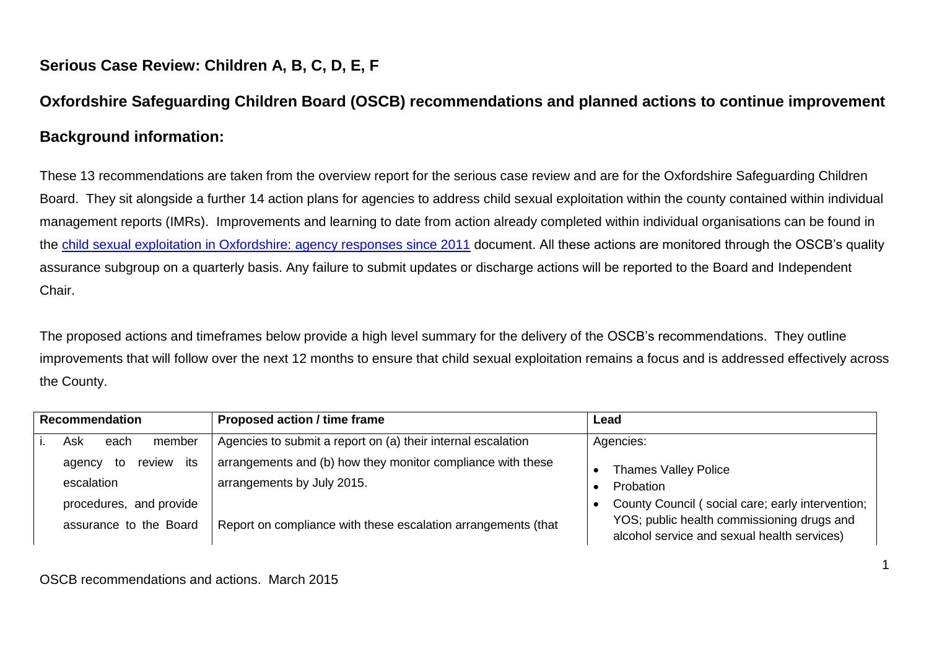## **Serious Case Review: Children A, B, C, D, E, F**

## **Oxfordshire Safeguarding Children Board (OSCB) recommendations and planned actions to continue improvement Background information:**

These 13 recommendations are taken from the overview report for the serious case review and are for the Oxfordshire Safeguarding Children Board. They sit alongside a further 14 action plans for agencies to address child sexual exploitation within the county contained within individual management reports (IMRs). Improvements and learning to date from action already completed within individual organisations can be found in the [child sexual exploitation in Oxfordshire: agency responses since 2011](http://www.oscb.org.uk/wp-content/uploads/Child-Sexual-Exploitation-in-Oxfordshire-Agency-Responses-since-2011.pdf) document. All these actions are monitored through the OSCB's quality assurance subgroup on a quarterly basis. Any failure to submit updates or discharge actions will be reported to the Board and Independent Chair.

The proposed actions and timeframes below provide a high level summary for the delivery of the OSCB's recommendations. They outline improvements that will follow over the next 12 months to ensure that child sexual exploitation remains a focus and is addressed effectively across the County.

| <b>Recommendation</b> |                               | <b>Proposed action / time frame</b>                           | Lead                                                                                      |
|-----------------------|-------------------------------|---------------------------------------------------------------|-------------------------------------------------------------------------------------------|
|                       | Ask<br>member<br>each         | Agencies to submit a report on (a) their internal escalation  | Agencies:                                                                                 |
|                       | its<br>review<br>agency<br>to | arrangements and (b) how they monitor compliance with these   | <b>Thames Valley Police</b>                                                               |
|                       | escalation                    | arrangements by July 2015.                                    | Probation                                                                                 |
|                       | procedures, and provide       |                                                               | County Council (social care; early intervention;                                          |
|                       | assurance to the Board        | Report on compliance with these escalation arrangements (that | YOS; public health commissioning drugs and<br>alcohol service and sexual health services) |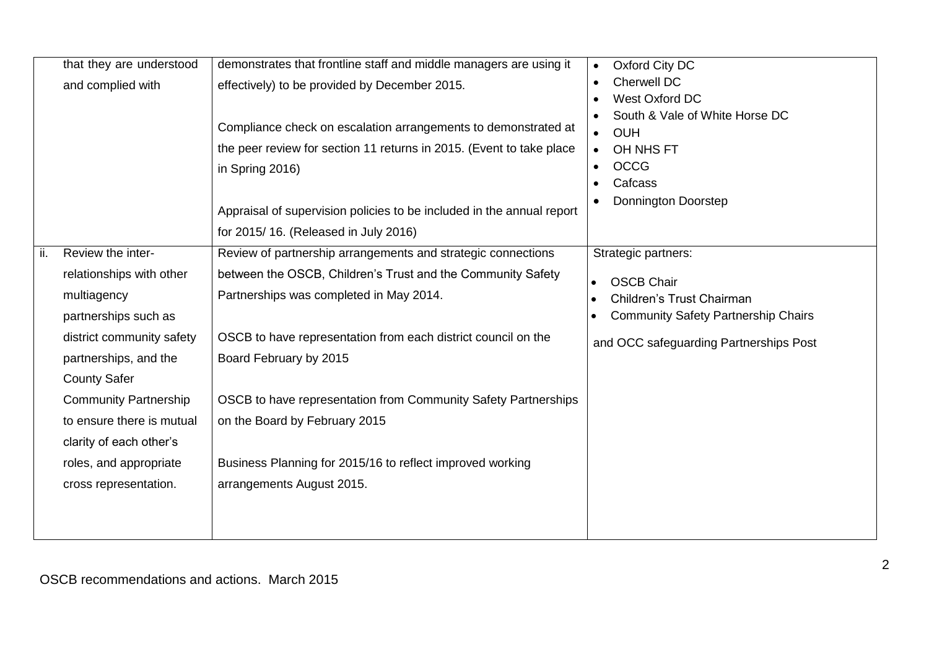|     | that they are understood     | demonstrates that frontline staff and middle managers are using it    | Oxford City DC<br>$\bullet$                |
|-----|------------------------------|-----------------------------------------------------------------------|--------------------------------------------|
|     | and complied with            | effectively) to be provided by December 2015.                         | <b>Cherwell DC</b>                         |
|     |                              |                                                                       | West Oxford DC                             |
|     |                              | Compliance check on escalation arrangements to demonstrated at        | South & Vale of White Horse DC             |
|     |                              |                                                                       | <b>OUH</b><br>$\bullet$                    |
|     |                              | the peer review for section 11 returns in 2015. (Event to take place  | OH NHS FT                                  |
|     |                              | in Spring 2016)                                                       | <b>OCCG</b>                                |
|     |                              |                                                                       | Cafcass                                    |
|     |                              | Appraisal of supervision policies to be included in the annual report | Donnington Doorstep                        |
|     |                              | for 2015/16. (Released in July 2016)                                  |                                            |
| ii. | Review the inter-            | Review of partnership arrangements and strategic connections          | Strategic partners:                        |
|     | relationships with other     | between the OSCB, Children's Trust and the Community Safety           | <b>OSCB Chair</b>                          |
|     | multiagency                  | Partnerships was completed in May 2014.                               | Children's Trust Chairman                  |
|     | partnerships such as         |                                                                       | <b>Community Safety Partnership Chairs</b> |
|     | district community safety    | OSCB to have representation from each district council on the         | and OCC safeguarding Partnerships Post     |
|     | partnerships, and the        | Board February by 2015                                                |                                            |
|     | <b>County Safer</b>          |                                                                       |                                            |
|     | <b>Community Partnership</b> | OSCB to have representation from Community Safety Partnerships        |                                            |
|     | to ensure there is mutual    | on the Board by February 2015                                         |                                            |
|     | clarity of each other's      |                                                                       |                                            |
|     | roles, and appropriate       | Business Planning for 2015/16 to reflect improved working             |                                            |
|     | cross representation.        | arrangements August 2015.                                             |                                            |
|     |                              |                                                                       |                                            |
|     |                              |                                                                       |                                            |
|     |                              |                                                                       |                                            |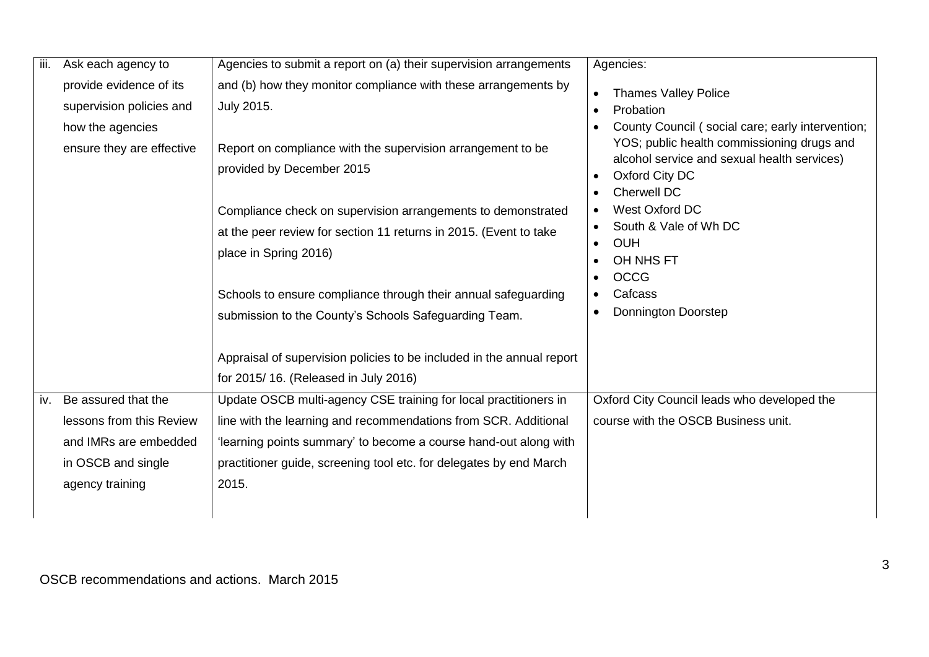| Ask each agency to                                                                                                | Agencies to submit a report on (a) their supervision arrangements                                                                                                                                                                                                                      | Agencies:                                                                                                                                                                             |
|-------------------------------------------------------------------------------------------------------------------|----------------------------------------------------------------------------------------------------------------------------------------------------------------------------------------------------------------------------------------------------------------------------------------|---------------------------------------------------------------------------------------------------------------------------------------------------------------------------------------|
| provide evidence of its<br>supervision policies and                                                               | and (b) how they monitor compliance with these arrangements by<br>July 2015.                                                                                                                                                                                                           | <b>Thames Valley Police</b><br>$\bullet$<br>Probation                                                                                                                                 |
| ensure they are effective                                                                                         | Report on compliance with the supervision arrangement to be<br>provided by December 2015                                                                                                                                                                                               | County Council (social care; early intervention;<br>YOS; public health commissioning drugs and<br>alcohol service and sexual health services)<br>Oxford City DC<br><b>Cherwell DC</b> |
|                                                                                                                   | Compliance check on supervision arrangements to demonstrated<br>at the peer review for section 11 returns in 2015. (Event to take<br>place in Spring 2016)                                                                                                                             | West Oxford DC<br>South & Vale of Wh DC<br><b>OUH</b><br>OH NHS FT<br><b>OCCG</b>                                                                                                     |
|                                                                                                                   | Schools to ensure compliance through their annual safeguarding<br>submission to the County's Schools Safeguarding Team.                                                                                                                                                                | Cafcass<br><b>Donnington Doorstep</b>                                                                                                                                                 |
|                                                                                                                   | Appraisal of supervision policies to be included in the annual report<br>for 2015/16. (Released in July 2016)                                                                                                                                                                          |                                                                                                                                                                                       |
| Be assured that the<br>lessons from this Review<br>and IMRs are embedded<br>in OSCB and single<br>agency training | Update OSCB multi-agency CSE training for local practitioners in<br>line with the learning and recommendations from SCR. Additional<br>'learning points summary' to become a course hand-out along with<br>practitioner guide, screening tool etc. for delegates by end March<br>2015. | Oxford City Council leads who developed the<br>course with the OSCB Business unit.                                                                                                    |
|                                                                                                                   | iii.<br>how the agencies<br>iv.                                                                                                                                                                                                                                                        |                                                                                                                                                                                       |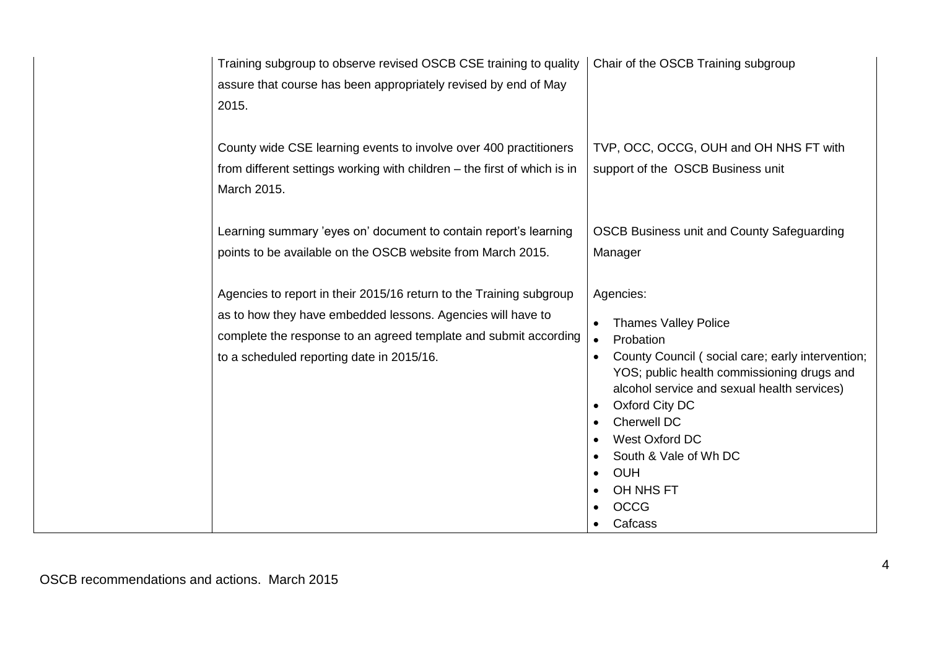| Training subgroup to observe revised OSCB CSE training to quality<br>assure that course has been appropriately revised by end of May<br>2015.                                                                                                       | Chair of the OSCB Training subgroup                                                                                                                                                                                                                                                                                                     |
|-----------------------------------------------------------------------------------------------------------------------------------------------------------------------------------------------------------------------------------------------------|-----------------------------------------------------------------------------------------------------------------------------------------------------------------------------------------------------------------------------------------------------------------------------------------------------------------------------------------|
| County wide CSE learning events to involve over 400 practitioners<br>from different settings working with children – the first of which is in<br>March 2015.                                                                                        | TVP, OCC, OCCG, OUH and OH NHS FT with<br>support of the OSCB Business unit                                                                                                                                                                                                                                                             |
| Learning summary 'eyes on' document to contain report's learning<br>points to be available on the OSCB website from March 2015.                                                                                                                     | <b>OSCB Business unit and County Safeguarding</b><br>Manager                                                                                                                                                                                                                                                                            |
| Agencies to report in their 2015/16 return to the Training subgroup<br>as to how they have embedded lessons. Agencies will have to<br>complete the response to an agreed template and submit according<br>to a scheduled reporting date in 2015/16. | Agencies:<br><b>Thames Valley Police</b><br>Probation<br>County Council (social care; early intervention;<br>YOS; public health commissioning drugs and<br>alcohol service and sexual health services)<br>Oxford City DC<br>Cherwell DC<br>West Oxford DC<br>South & Vale of Wh DC<br><b>OUH</b><br>OH NHS FT<br><b>OCCG</b><br>Cafcass |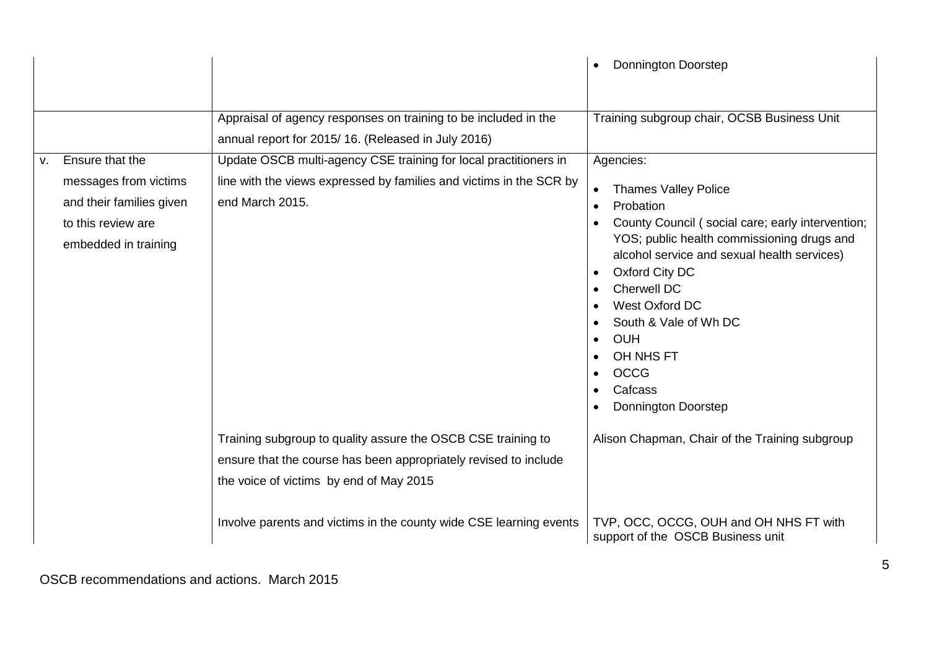|                                                                                                                          |                                                                                                                                                                             | <b>Donnington Doorstep</b>                                                                                                                                                                                                                                                                                                                                            |
|--------------------------------------------------------------------------------------------------------------------------|-----------------------------------------------------------------------------------------------------------------------------------------------------------------------------|-----------------------------------------------------------------------------------------------------------------------------------------------------------------------------------------------------------------------------------------------------------------------------------------------------------------------------------------------------------------------|
|                                                                                                                          | Appraisal of agency responses on training to be included in the<br>annual report for 2015/16. (Released in July 2016)                                                       | Training subgroup chair, OCSB Business Unit                                                                                                                                                                                                                                                                                                                           |
| Ensure that the<br>V.<br>messages from victims<br>and their families given<br>to this review are<br>embedded in training | Update OSCB multi-agency CSE training for local practitioners in<br>line with the views expressed by families and victims in the SCR by<br>end March 2015.                  | Agencies:<br><b>Thames Valley Police</b><br>Probation<br>County Council (social care; early intervention;<br>YOS; public health commissioning drugs and<br>alcohol service and sexual health services)<br>Oxford City DC<br>Cherwell DC<br>West Oxford DC<br>South & Vale of Wh DC<br><b>OUH</b><br>OH NHS FT<br><b>OCCG</b><br>Cafcass<br><b>Donnington Doorstep</b> |
|                                                                                                                          | Training subgroup to quality assure the OSCB CSE training to<br>ensure that the course has been appropriately revised to include<br>the voice of victims by end of May 2015 | Alison Chapman, Chair of the Training subgroup                                                                                                                                                                                                                                                                                                                        |
|                                                                                                                          | Involve parents and victims in the county wide CSE learning events                                                                                                          | TVP, OCC, OCCG, OUH and OH NHS FT with<br>support of the OSCB Business unit                                                                                                                                                                                                                                                                                           |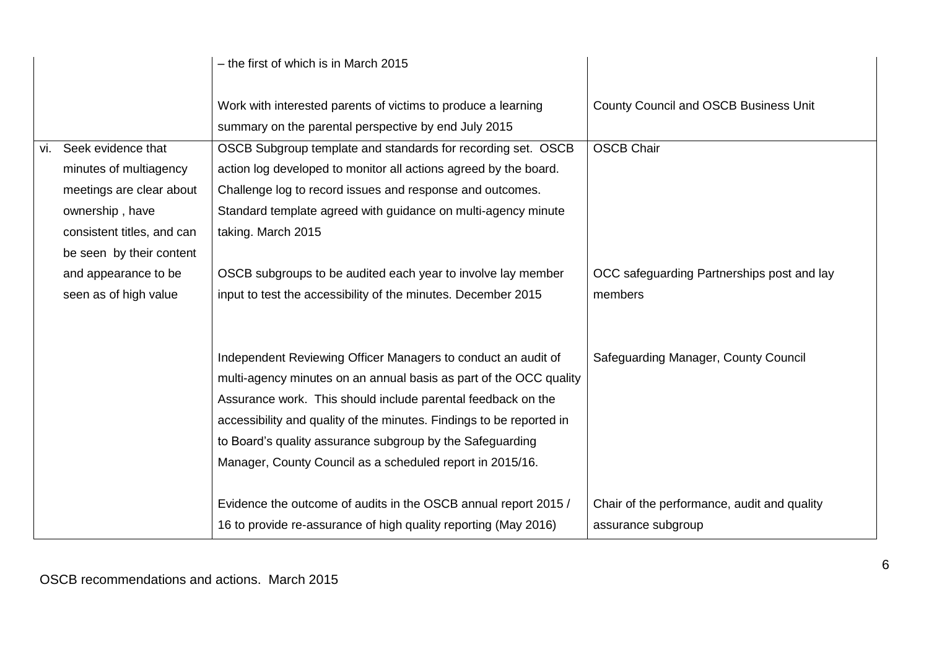|                            | - the first of which is in March 2015                                                                                                                                                                                                                                                                                                                                                                 |                                              |
|----------------------------|-------------------------------------------------------------------------------------------------------------------------------------------------------------------------------------------------------------------------------------------------------------------------------------------------------------------------------------------------------------------------------------------------------|----------------------------------------------|
|                            | Work with interested parents of victims to produce a learning<br>summary on the parental perspective by end July 2015                                                                                                                                                                                                                                                                                 | <b>County Council and OSCB Business Unit</b> |
| vi. Seek evidence that     | OSCB Subgroup template and standards for recording set. OSCB                                                                                                                                                                                                                                                                                                                                          | <b>OSCB Chair</b>                            |
| minutes of multiagency     | action log developed to monitor all actions agreed by the board.                                                                                                                                                                                                                                                                                                                                      |                                              |
| meetings are clear about   | Challenge log to record issues and response and outcomes.                                                                                                                                                                                                                                                                                                                                             |                                              |
| ownership, have            | Standard template agreed with guidance on multi-agency minute                                                                                                                                                                                                                                                                                                                                         |                                              |
| consistent titles, and can | taking. March 2015                                                                                                                                                                                                                                                                                                                                                                                    |                                              |
| be seen by their content   |                                                                                                                                                                                                                                                                                                                                                                                                       |                                              |
| and appearance to be       | OSCB subgroups to be audited each year to involve lay member                                                                                                                                                                                                                                                                                                                                          | OCC safeguarding Partnerships post and lay   |
| seen as of high value      | input to test the accessibility of the minutes. December 2015                                                                                                                                                                                                                                                                                                                                         | members                                      |
|                            |                                                                                                                                                                                                                                                                                                                                                                                                       |                                              |
|                            | Independent Reviewing Officer Managers to conduct an audit of<br>multi-agency minutes on an annual basis as part of the OCC quality<br>Assurance work. This should include parental feedback on the<br>accessibility and quality of the minutes. Findings to be reported in<br>to Board's quality assurance subgroup by the Safeguarding<br>Manager, County Council as a scheduled report in 2015/16. | Safeguarding Manager, County Council         |
|                            | Evidence the outcome of audits in the OSCB annual report 2015 /                                                                                                                                                                                                                                                                                                                                       | Chair of the performance, audit and quality  |
|                            | 16 to provide re-assurance of high quality reporting (May 2016)                                                                                                                                                                                                                                                                                                                                       | assurance subgroup                           |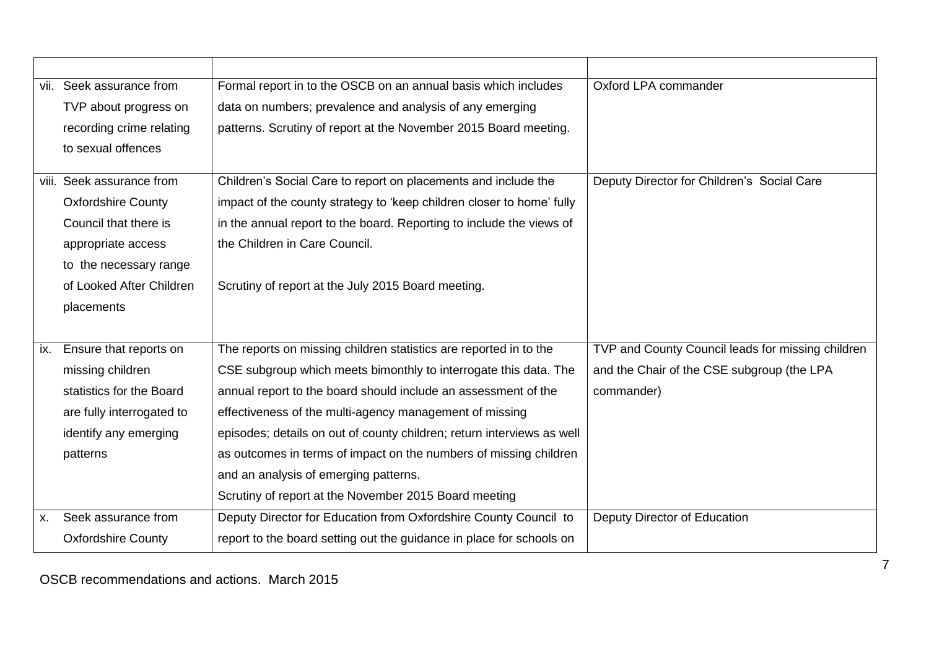|     | vii. Seek assurance from  | Formal report in to the OSCB on an annual basis which includes         | Oxford LPA commander                              |
|-----|---------------------------|------------------------------------------------------------------------|---------------------------------------------------|
|     | TVP about progress on     | data on numbers; prevalence and analysis of any emerging               |                                                   |
|     | recording crime relating  | patterns. Scrutiny of report at the November 2015 Board meeting.       |                                                   |
|     | to sexual offences        |                                                                        |                                                   |
|     | viii. Seek assurance from | Children's Social Care to report on placements and include the         | Deputy Director for Children's Social Care        |
|     | <b>Oxfordshire County</b> | impact of the county strategy to 'keep children closer to home' fully  |                                                   |
|     | Council that there is     | in the annual report to the board. Reporting to include the views of   |                                                   |
|     |                           |                                                                        |                                                   |
|     | appropriate access        | the Children in Care Council.                                          |                                                   |
|     | to the necessary range    |                                                                        |                                                   |
|     | of Looked After Children  | Scrutiny of report at the July 2015 Board meeting.                     |                                                   |
|     | placements                |                                                                        |                                                   |
|     |                           |                                                                        |                                                   |
| ix. | Ensure that reports on    | The reports on missing children statistics are reported in to the      | TVP and County Council leads for missing children |
|     | missing children          | CSE subgroup which meets bimonthly to interrogate this data. The       | and the Chair of the CSE subgroup (the LPA        |
|     | statistics for the Board  | annual report to the board should include an assessment of the         | commander)                                        |
|     | are fully interrogated to | effectiveness of the multi-agency management of missing                |                                                   |
|     | identify any emerging     | episodes; details on out of county children; return interviews as well |                                                   |
|     | patterns                  | as outcomes in terms of impact on the numbers of missing children      |                                                   |
|     |                           | and an analysis of emerging patterns.                                  |                                                   |
|     |                           | Scrutiny of report at the November 2015 Board meeting                  |                                                   |
| X.  | Seek assurance from       | Deputy Director for Education from Oxfordshire County Council to       | Deputy Director of Education                      |
|     | <b>Oxfordshire County</b> | report to the board setting out the guidance in place for schools on   |                                                   |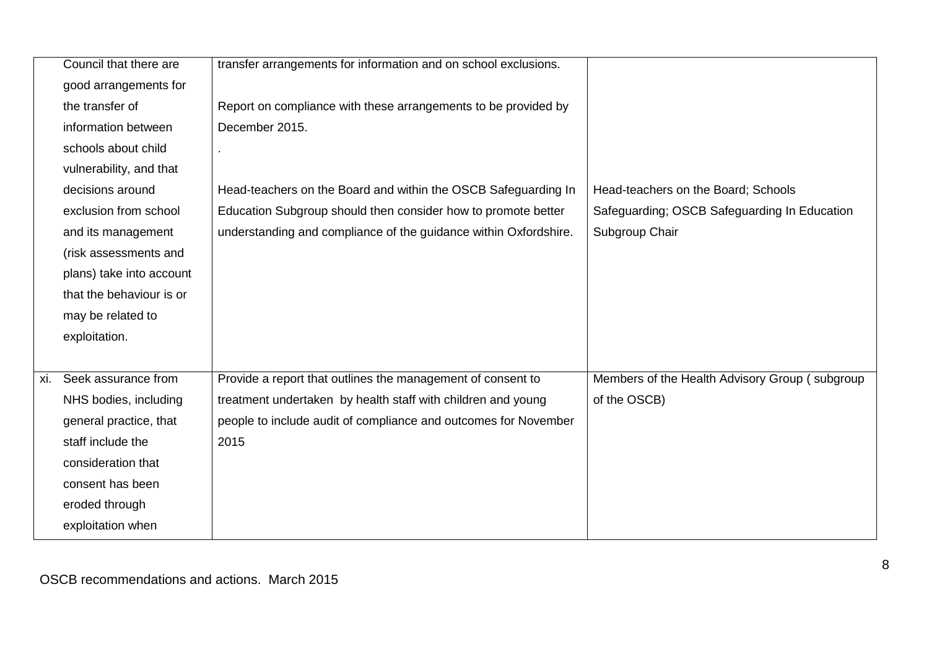|     | Council that there are   | transfer arrangements for information and on school exclusions.  |                                                |
|-----|--------------------------|------------------------------------------------------------------|------------------------------------------------|
|     | good arrangements for    |                                                                  |                                                |
|     | the transfer of          | Report on compliance with these arrangements to be provided by   |                                                |
|     | information between      | December 2015.                                                   |                                                |
|     | schools about child      |                                                                  |                                                |
|     | vulnerability, and that  |                                                                  |                                                |
|     | decisions around         | Head-teachers on the Board and within the OSCB Safeguarding In   | Head-teachers on the Board; Schools            |
|     | exclusion from school    | Education Subgroup should then consider how to promote better    | Safeguarding; OSCB Safeguarding In Education   |
|     | and its management       | understanding and compliance of the guidance within Oxfordshire. | Subgroup Chair                                 |
|     | (risk assessments and    |                                                                  |                                                |
|     | plans) take into account |                                                                  |                                                |
|     | that the behaviour is or |                                                                  |                                                |
|     | may be related to        |                                                                  |                                                |
|     | exploitation.            |                                                                  |                                                |
|     |                          |                                                                  |                                                |
| xi. | Seek assurance from      | Provide a report that outlines the management of consent to      | Members of the Health Advisory Group (subgroup |
|     | NHS bodies, including    | treatment undertaken by health staff with children and young     | of the OSCB)                                   |
|     | general practice, that   | people to include audit of compliance and outcomes for November  |                                                |
|     | staff include the        | 2015                                                             |                                                |
|     | consideration that       |                                                                  |                                                |
|     | consent has been         |                                                                  |                                                |
|     | eroded through           |                                                                  |                                                |
|     | exploitation when        |                                                                  |                                                |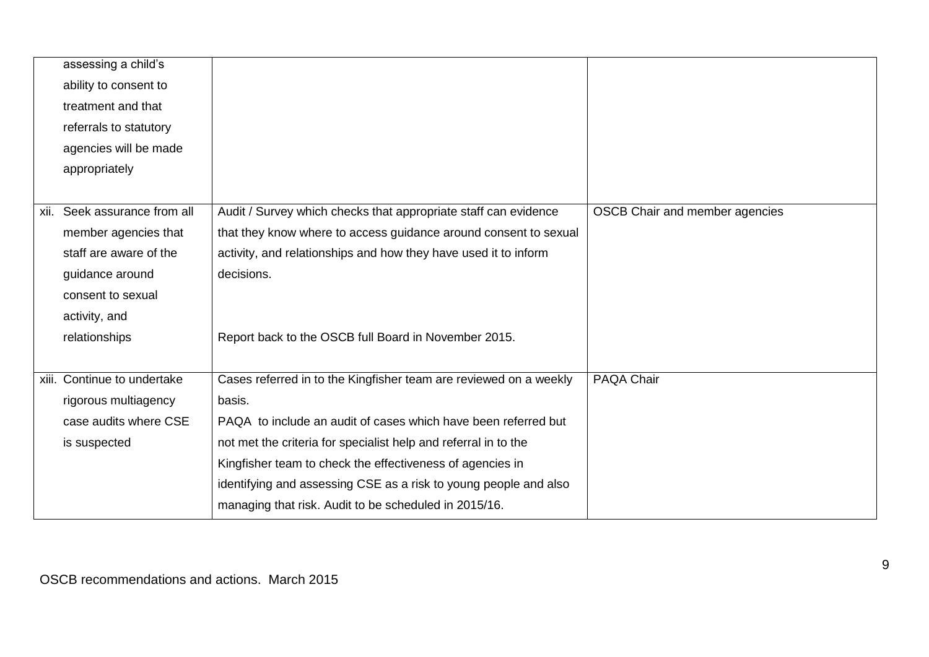|      | assessing a child's         |                                                                   |                                |
|------|-----------------------------|-------------------------------------------------------------------|--------------------------------|
|      | ability to consent to       |                                                                   |                                |
|      | treatment and that          |                                                                   |                                |
|      | referrals to statutory      |                                                                   |                                |
|      | agencies will be made       |                                                                   |                                |
|      | appropriately               |                                                                   |                                |
|      |                             |                                                                   |                                |
| xii. | Seek assurance from all     | Audit / Survey which checks that appropriate staff can evidence   | OSCB Chair and member agencies |
|      | member agencies that        | that they know where to access guidance around consent to sexual  |                                |
|      | staff are aware of the      | activity, and relationships and how they have used it to inform   |                                |
|      | guidance around             | decisions.                                                        |                                |
|      | consent to sexual           |                                                                   |                                |
|      | activity, and               |                                                                   |                                |
|      | relationships               | Report back to the OSCB full Board in November 2015.              |                                |
|      |                             |                                                                   |                                |
|      | xiii. Continue to undertake | Cases referred in to the Kingfisher team are reviewed on a weekly | PAQA Chair                     |
|      | rigorous multiagency        | basis.                                                            |                                |
|      | case audits where CSE       | PAQA to include an audit of cases which have been referred but    |                                |
|      | is suspected                | not met the criteria for specialist help and referral in to the   |                                |
|      |                             | Kingfisher team to check the effectiveness of agencies in         |                                |
|      |                             | identifying and assessing CSE as a risk to young people and also  |                                |
|      |                             | managing that risk. Audit to be scheduled in 2015/16.             |                                |